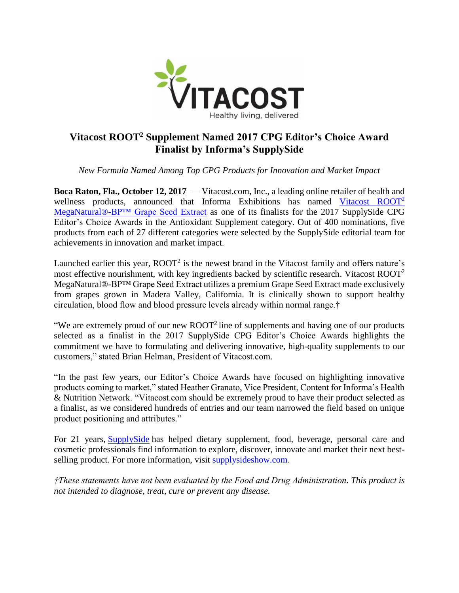

## **Vitacost ROOT<sup>2</sup> Supplement Named 2017 CPG Editor's Choice Award Finalist by Informa's SupplySide**

*New Formula Named Among Top CPG Products for Innovation and Market Impact*

**Boca Raton, Fla., October 12, 2017** — Vitacost.com, Inc., a leading online retailer of health and wellness products, announced that Informa Exhibitions has named [Vitacost ROOT](https://www.vitacost.com/vitacost-root2-meganatural-bp-grape-seed-extract)<sup>2</sup> [MegaNatural®-BP™ Grape Seed Extract](https://www.vitacost.com/vitacost-root2-meganatural-bp-grape-seed-extract) as one of its finalists for the 2017 SupplySide CPG Editor's Choice Awards in the Antioxidant Supplement category. Out of 400 nominations, five products from each of 27 different categories were selected by the SupplySide editorial team for achievements in innovation and market impact.

Launched earlier this year,  $ROOT<sup>2</sup>$  is the newest brand in the Vitacost family and offers nature's most effective nourishment, with key ingredients backed by scientific research. Vitacost  $ROOT<sup>2</sup>$ MegaNatural®-BP™ Grape Seed Extract utilizes a premium Grape Seed Extract made exclusively from grapes grown in Madera Valley, California. It is clinically shown to support healthy circulation, blood flow and blood pressure levels already within normal range.†

"We are extremely proud of our new  $\text{ROOT}^2$  line of supplements and having one of our products selected as a finalist in the 2017 SupplySide CPG Editor's Choice Awards highlights the commitment we have to formulating and delivering innovative, high-quality supplements to our customers," stated Brian Helman, President of Vitacost.com.

"In the past few years, our Editor's Choice Awards have focused on highlighting innovative products coming to market," stated Heather Granato, Vice President, Content for Informa's Health & Nutrition Network. "Vitacost.com should be extremely proud to have their product selected as a finalist, as we considered hundreds of entries and our team narrowed the field based on unique product positioning and attributes."

For 21 years, [SupplySide](http://west.supplysideshow.com/?cmpid=PR&sc=PR) has helped dietary supplement, food, beverage, personal care and cosmetic professionals find information to explore, discover, innovate and market their next bestselling product. For more information, visit [supplysideshow.com.](http://west.supplysideshow.com/?cmpid=ECATEMPLATE&sc=ECATEMPLATE)

*†These statements have not been evaluated by the Food and Drug Administration. This product is not intended to diagnose, treat, cure or prevent any disease.*